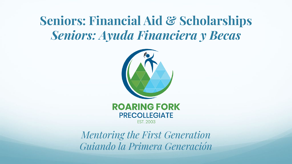### **Seniors: Financial Aid & Scholarships** *Seniors: Ayuda Financiera y Becas*





*Mentoring the First Generation Guiando la Primera Generación*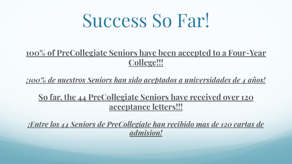## Success So Far!

### **100% of PreCollegiate Seniors have been accepted to a Four-Year College!!!**

*¡100% de nuestros Seniors han sido aceptados a universidades de 4 años!*

**So far, the 44 PreCollegiate Seniors have received over 120 acceptance letters!!!**

*¡Entre los 44 Seniors de PreCollegiate han recibido mas de 120 cartas de admision!*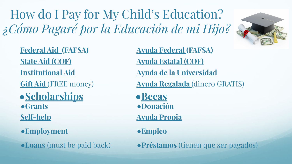How do I Pay for My Child's Education? *¿Cómo Pagaré por la Educación de mi Hijo?*

**Federal Aid (FAFSA) State Aid (COF) Institutional Aid Gift Aid** (FREE money) ●**Scholarships**

●**Grants**

**Self-help**

- ●**Employment**
- ●**Loans** (must be paid back)

**Ayuda Federal (FAFSA) Ayuda Estatal (COF) Ayuda de la Universidad Ayuda Regalada** (dinero GRATIS) ●**Becas** ●**Donación Ayuda Propia** ●**Empleo**

●**Préstamos** (tienen que ser pagados)

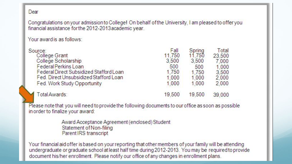#### Dear

Congratulations on your admission to College! On behalf of the University, I am pleased to offer you financial assistance for the 2012-2013 academic year.

Your award is as follows:

| Source:                                 | Fall   | Spring | Total  |
|-----------------------------------------|--------|--------|--------|
| College Grant                           | 11.750 | 11.750 | 23,500 |
| College Scholarship                     | 3.500  | 3.500  | 7.000  |
| <b>Federal Perkins Loan</b>             | 500    | 500    | 1.000  |
| Federal Direct Subsidized Stafford Loan | 1.750  | 1.750  | 3.500  |
| Fed. Direct Unsubsidized Stafford Loan  | 1.000  | 1.000  | 2.000  |
| Fed. Work Study Opportunity             | 1.000  | 1.000  | 2.000  |
| Total Awards:                           | 19,500 | 19,500 | 39,000 |
|                                         |        |        |        |

Please note that you will need to provide the following documents to our office as soon as possible in order to finalize your award:

> Award Acceptance Agreement (enclosed) Student Statement of Non-filing Parent IRS transcript

Your financial aid offer is based on your reporting that other members of your family will be attending undergraduate or graduate school at least half time during 2012-2013. You may be required to provide document his/her enrollment. Please notify our office of any changes in enrollment plans.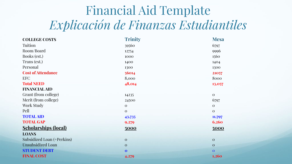### Financial Aid Template *Explicación de Finanzas Estudiantiles*

| <b>COLLEGE COSTS</b>        | <b>Trinity</b> | <b>Mesa</b>  |
|-----------------------------|----------------|--------------|
| Tuition                     | 39560          | 6797         |
| Room/Board                  | 12754          | 9996         |
| Books (est.)                | 1000           | 1560         |
| Trans (est.)                | 1400           | 1404         |
| Personal                    | 1300           | 1300         |
| <b>Cost of Attendance</b>   | 56014          | 21057        |
| <b>EFC</b>                  | 8,000          | 8000         |
| <b>Total NEED</b>           | 48,014         | 13,057       |
| <b>FINANCIAL AID</b>        |                |              |
| Grant (from college)        | 14235          | $\mathbf{O}$ |
| Merit (from college)        | 24500          | 6797         |
| Work Study                  | $\theta$       | $\mathbf{O}$ |
| Pell                        | $\theta$       | $\theta$     |
| <b>TOTAL AID</b>            | 43,735         | 11,797       |
| <b>TOTAL GAP</b>            | 9,279          | 6,260        |
| <b>Scholarships (local)</b> | 5000           | 5000         |
| <b>LOANS</b>                |                |              |
| Subsidized Loan (+Perkins)  | $\mathbf{O}$   | $\mathbf{O}$ |
| <b>Unsubsidized Loan</b>    | $\mathbf{O}$   | $\mathbf{O}$ |
| <b>STUDENT DEBT</b>         | $\mathbf 0$    | $\mathbf{O}$ |
| <b>FINAL COST</b>           | 4,279          | 1,260        |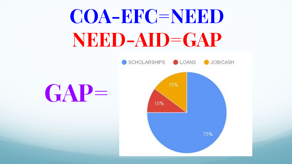# **COA-EFC=NEED NEED-AID=GAP**

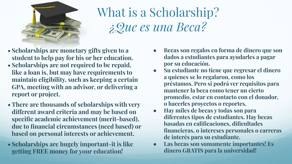

## What is a Scholarship? *¿Que es una Beca?*

- **• Scholarships are monetary gifts given to a student to help pay for his or her education.**
- **• Scholarships are not required to be repaid, like a loan is, but may have requirements to maintain eligibility, such as keeping a certain GPA, meeting with an advisor, or delivering a report or project.**
- **• There are thousands of scholarships with very different award criteria and may be based on specific academic achievement (merit-based), due to financial circumstances (need based) or based on personal interests or achievement.**
- **• Scholarships are hugely important-it is like getting FREE money for your education!**
- **● Becas son regalos en forma de dinero que son dados a estudiantes para ayudarles a pagar por su educación.**
- **● Su estudiante no tiene que regresar el dinero a quienes se lo regalaron, como los préstamos. Pero si podrá ver requisitos para mantener la beca como tener un cierto promedio, estar en contacto con el donador, o hacerles proyectos o reportes.**
- **● Hay miles de becas y todas son para diferentes tipos de estudiantes. Hay becas basadas en calificaciones, dificultades financieras, o intereses personales o carreras de interés para su estudiante.**
- **● Las becas son sumamente importantes! Es dinero GRATIS para la universidad!**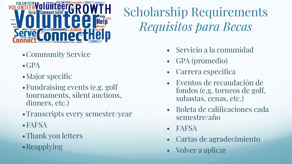

- •Community Service
- $\bullet$  GPA
- Major specific
- •Fundraising events (e.g. golf tournaments, silent auctions, dinners, etc.)
- •Transcripts every semester/year
- •FAFSA
- Thank you letters
- •Reapplying

## Scholarship Requirements *Requisitos para Becas*

- Servicio a la comunidad
- GPA (promedio)
- Carrera especifica
- Eventos de recaudación de fondos (e.g. torneos de golf, subastas, cenas, etc.)
- Boleta de calificaciones cada semestre/año
- FAFSA
- Cartas de agradecimiento
- Volver a aplicar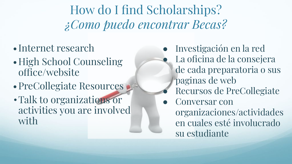How do I find Scholarships? *¿Como puedo encontrar Becas?*

- Internet research
- •High School Counseling office/website
- PreCollegiate Resources
- •Talk to organizations or activities you are involved with
- Investigación en la red La oficina de la consejera de cada preparatoria o sus paginas de web
	- Recursos de PreCollegiate
- Conversar con organizaciones/actividades en cuales esté involucrado su estudiante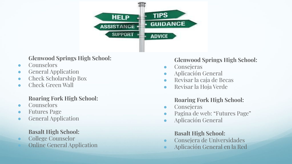

#### **Glenwood Springs High School:**

- Counselors
- General Application
- Check Scholarship Box
- Check Green Wall

#### **Roaring Fork High School:**

- **Counselors**
- **Futures Page**
- General Application

#### **Basalt High School:**

College Counselor **Online General Application** 

#### **Glenwood Springs High School:**

- Consejeras
- Aplicación General
- Revisar la caja de Becas
- Revisar la Hoja Verde

#### **Roaring Fork High School:**

- Consejeras
- Pagina de web: "Futures Page"
- Aplicación General

#### **Basalt High School:**

- Consejera de Universidades
- Aplicación General en la Red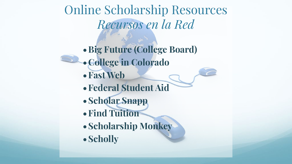Online Scholarship Resources *Recursos en la Red*

**•Big Future (College Board) •College in Colorado •Fast Web •Federal Student Aid •Scholar Snapp •Find Tuition •Scholarship Monkey •Scholly**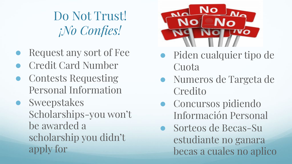Do Not Trust! *¡No Confies!*

- Request any sort of Fee
- **Credit Card Number**
- Contests Requesting Personal Information
- Sweepstakes Scholarships-you won't be awarded a scholarship you didn't apply for



- Piden cualquier tipo de **Cuota**
- Numeros de Targeta de **Credito**
- Concursos pidiendo Información Personal
- Sorteos de Becas-Su estudiante no ganara becas a cuales no aplico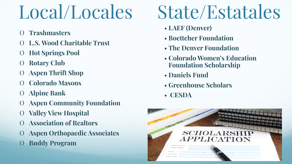# Local/Locales

- O **Trashmasters**
- O **L.S. Wood Charitable Trust**
- O **Hot Springs Pool**
- O **Rotary Club**
- O **Aspen Thrift Shop**
- O **Colorado Masons**
- O **Alpine Bank**
- O **Aspen Community Foundation**
- O **Valley View Hospital**
- O **Association of Realtors**
- O **Aspen Orthopaedic Associates**
- O **Buddy Program**

# State/Estatales

- **LAEF (Denver)**
- **Boettcher Foundation**
- **The Denver Foundation**
- **Colorado Women's Education Foundation Scholarship**
- **Daniels Fund**
- **Greenhouse Scholars**
- • **CESDA**

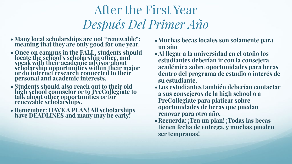### After the First Year *Después Del Primer Año*

- **• Many local scholarships are not "renewable": meaning that they are only good for one year.**
- **• Once on campus in the FALL, students should locate the school's scholarship office, and speak with their academic advisor about scholarship opportunities within their major or do internet research connected to their personal and academic interests.**
- **• Students should also reach out to their old high school counselor or to PreCollegiate to talk about other opportunities or for renewable scholarships.**
- **• Remember: HAVE A PLAN! All scholarships have DEADLINES and many may be early!**
- **•Muchas becas locales son solamente para un año**
- **•Al llegar a la universidad en el otoño los estudiantes deberían ir con la consejera académica sobre oportunidades para becas dentro del programa de estudio o interés de su estudiante.**
- **•Los estudiantes también deberían contactar a sus consejeros de la high school o a PreCollegiate para platicar sobre oportunidades de becas que puedan renovar para otro año.**
- **•Recuerda: ¡Ten un plan! ¡Todas las becas tienen fecha de entrega, y muchas pueden ser tempranas!**